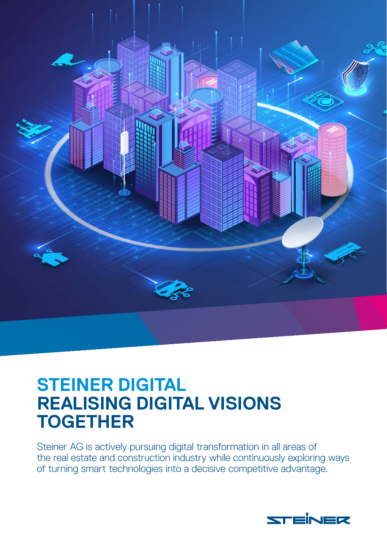

# **STEINER DIGITAL REALISING DIGITAL VISIONS TOGETHER**

Steiner AG is actively pursuing digital transformation in all areas of the real estate and construction industry while continuously exploring ways of turning smart technologies into a decisive competitive advantage.